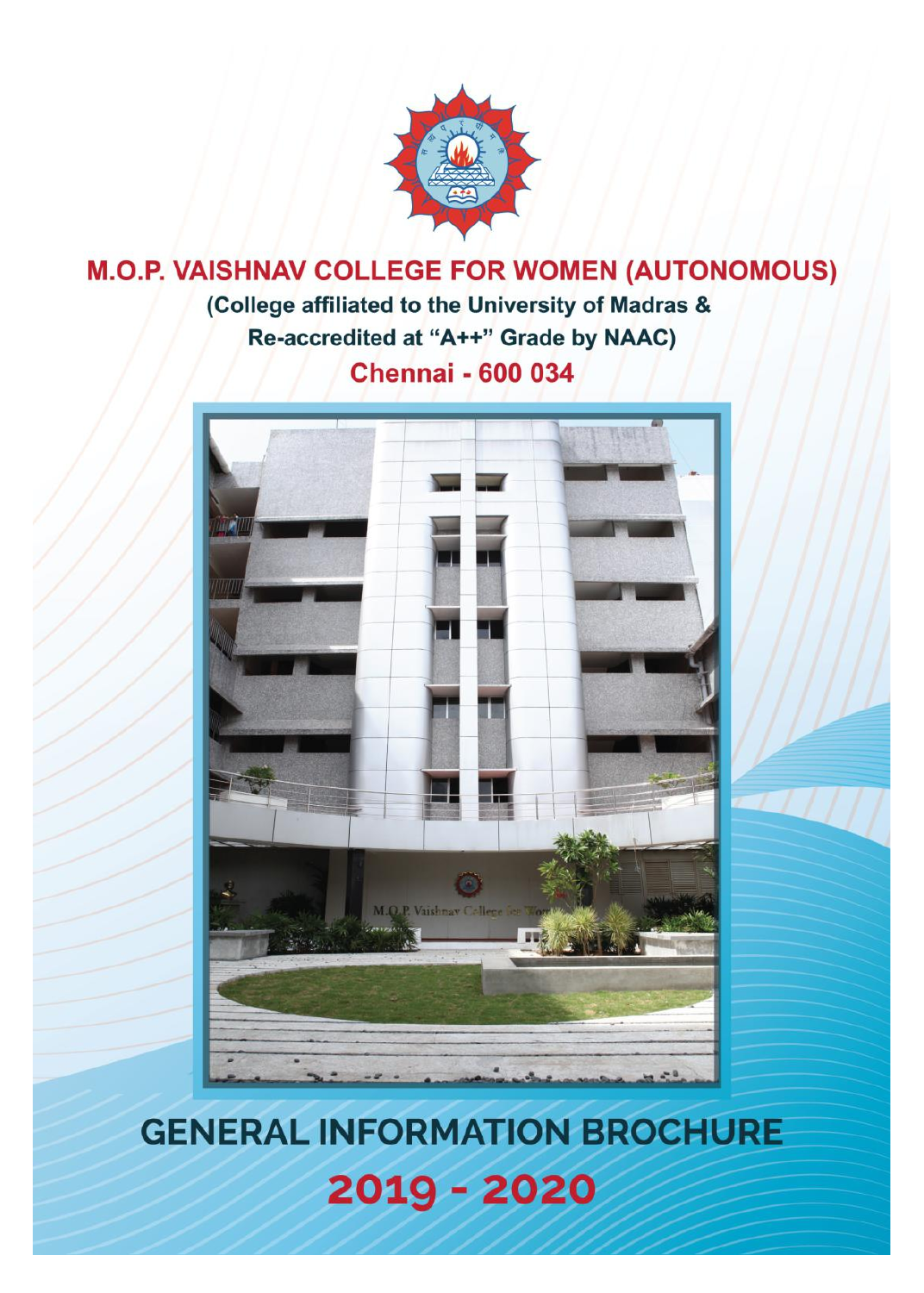

# **M.O.P. VAISHNAV COLLEGE FOR WOMEN (AUTONOMOUS)** (College affiliated to the University of Madras & Re-accredited at "A++" Grade by NAAC) **Chennai - 600 034**



# **GENERAL INFORMATION BROCHURE** 2019 - 2020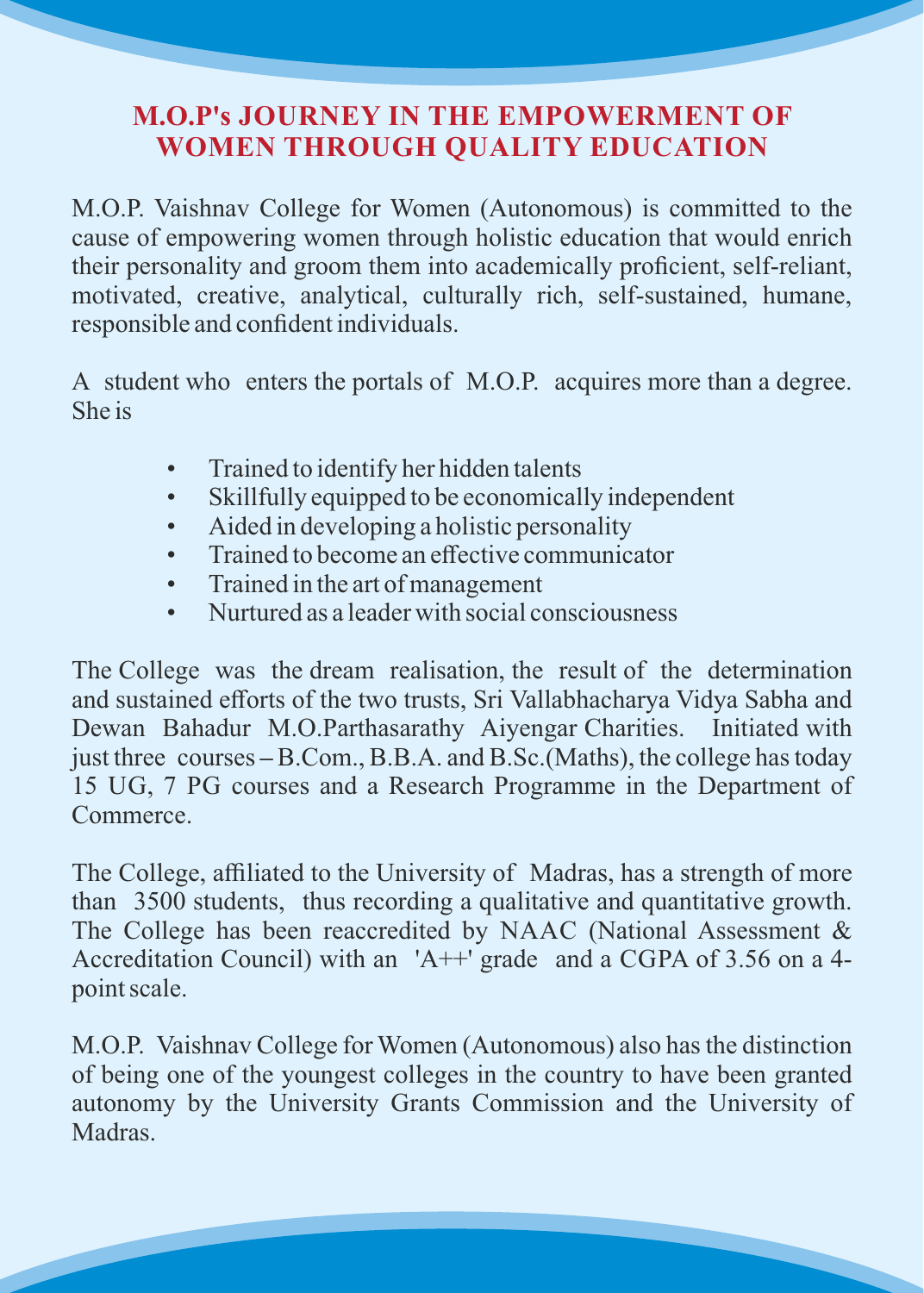# **M.O.P's JOURNEY IN THE EMPOWERMENT OF WOMEN THROUGH QUALITY EDUCATION**

M.O.P. Vaishnav College for Women (Autonomous) is committed to the cause of empowering women through holistic education that would enrich their personality and groom them into academically proficient, self-reliant, motivated, creative, analytical, culturally rich, self-sustained, humane, responsible and confident individuals.

A student who enters the portals of M.O.P. acquires more than a degree. She is

- Trained to identify her hidden talents
- Skillfully equipped to be economically independent
- Aided in developing a holistic personality
- Trained to become an effective communicator
- Trained in the art of management
- Nurtured as a leader with social consciousness

The College was the dream realisation, the result of the determination and sustained efforts of the two trusts, Sri Vallabhacharya Vidya Sabha and Dewan Bahadur M.O.Parthasarathy Aiyengar Charities. Initiated with just three courses **–** B.Com., B.B.A. and B.Sc.(Maths), the college has today 15 UG, 7 PG courses and a Research Programme in the Department of Commerce.

The College, affiliated to the University of Madras, has a strength of more than 3500 students, thus recording a qualitative and quantitative growth. The College has been reaccredited by NAAC (National Assessment & Accreditation Council) with an 'A++' grade and a CGPA of 3.56 on a 4 point scale.

M.O.P. Vaishnav College for Women (Autonomous) also has the distinction of being one of the youngest colleges in the country to have been granted autonomy by the University Grants Commission and the University of Madras.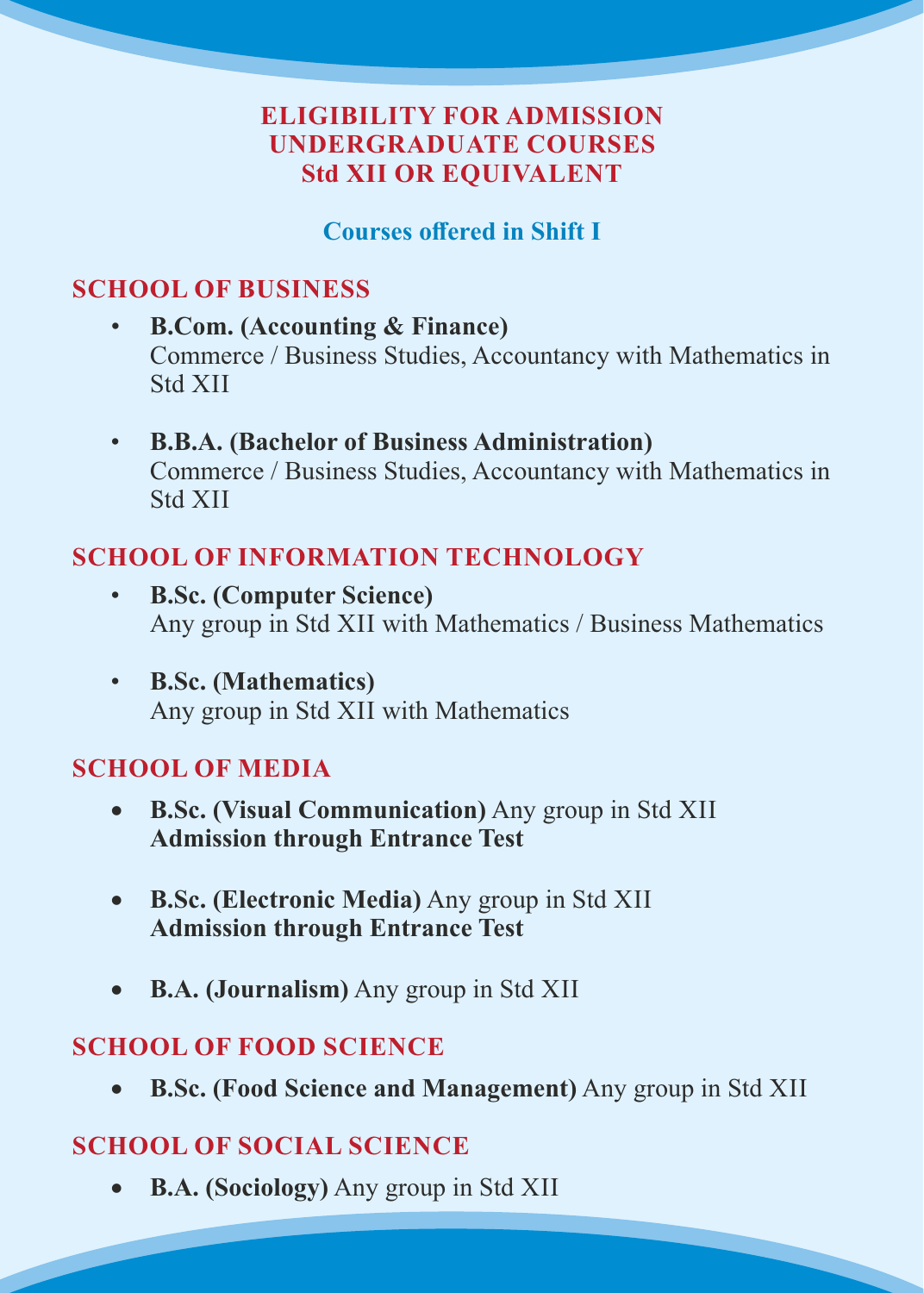# **ELIGIBILITY FOR ADMISSION UNDERGRADUATE COURSES Std XII OR EQUIVALENT**

## **Courses offered in Shift I**

# **SCHOOL OF BUSINESS**

- **B.Com. (Accounting & Finance)** Commerce / Business Studies, Accountancy with Mathematics in Std XII
- **B.B.A. (Bachelor of Business Administration)** Commerce / Business Studies, Accountancy with Mathematics in Std XII

# **SCHOOL OF INFORMATION TECHNOLOGY**

- **B.Sc. (Computer Science)** Any group in Std XII with Mathematics / Business Mathematics
- **B.Sc. (Mathematics)** Any group in Std XII with Mathematics

#### **SCHOOL OF MEDIA**

- **B.Sc. (Visual Communication)** Any group in Std XII **Admission through Entrance Test**
- **B.Sc. (Electronic Media)** Any group in Std XII **Admission through Entrance Test**
- **B.A. (Journalism)** Any group in Std XII

#### **SCHOOL OF FOOD SCIENCE**

**B.Sc. (Food Science and Management)** Any group in Std XII

# **SCHOOL OF SOCIAL SCIENCE**

**B.A. (Sociology)** Any group in Std XII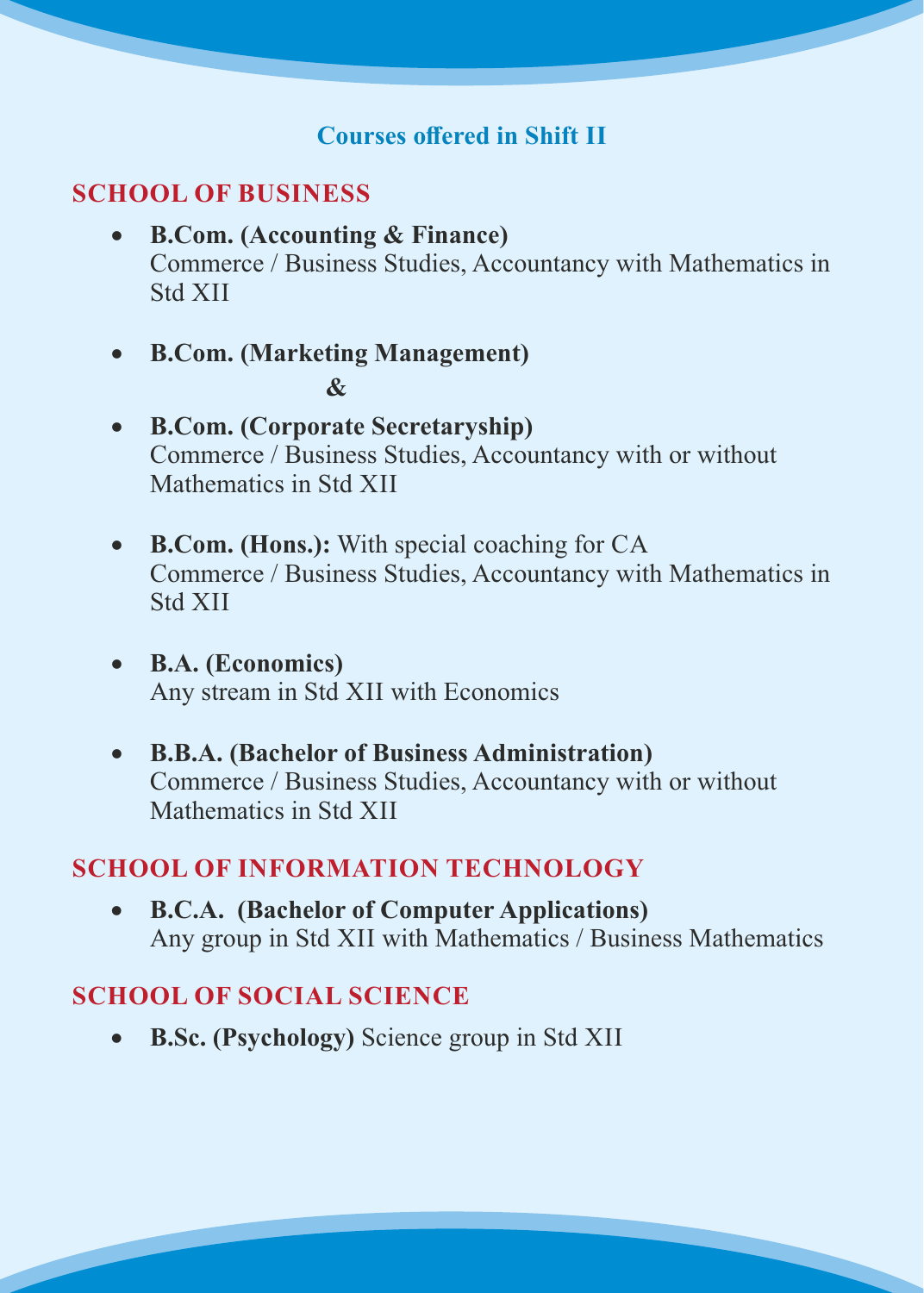## **Courses offered in Shift II**

#### **SCHOOL OF BUSINESS**

- **B.Com. (Accounting & Finance)** Commerce / Business Studies, Accountancy with Mathematics in Std XII
- **B.Com. (Marketing Management) &**
- **B.Com. (Corporate Secretaryship)** Commerce / Business Studies, Accountancy with or without Mathematics in Std XII
- **B.Com. (Hons.):** With special coaching for CA Commerce / Business Studies, Accountancy with Mathematics in Std XII
- **B.A. (Economics)**  Any stream in Std XII with Economics
- **B.B.A. (Bachelor of Business Administration)** Commerce / Business Studies, Accountancy with or without Mathematics in Std XII

#### **SCHOOL OF INFORMATION TECHNOLOGY**

 **B.C.A. (Bachelor of Computer Applications)** Any group in Std XII with Mathematics / Business Mathematics

#### **SCHOOL OF SOCIAL SCIENCE**

**B.Sc. (Psychology)** Science group in Std XII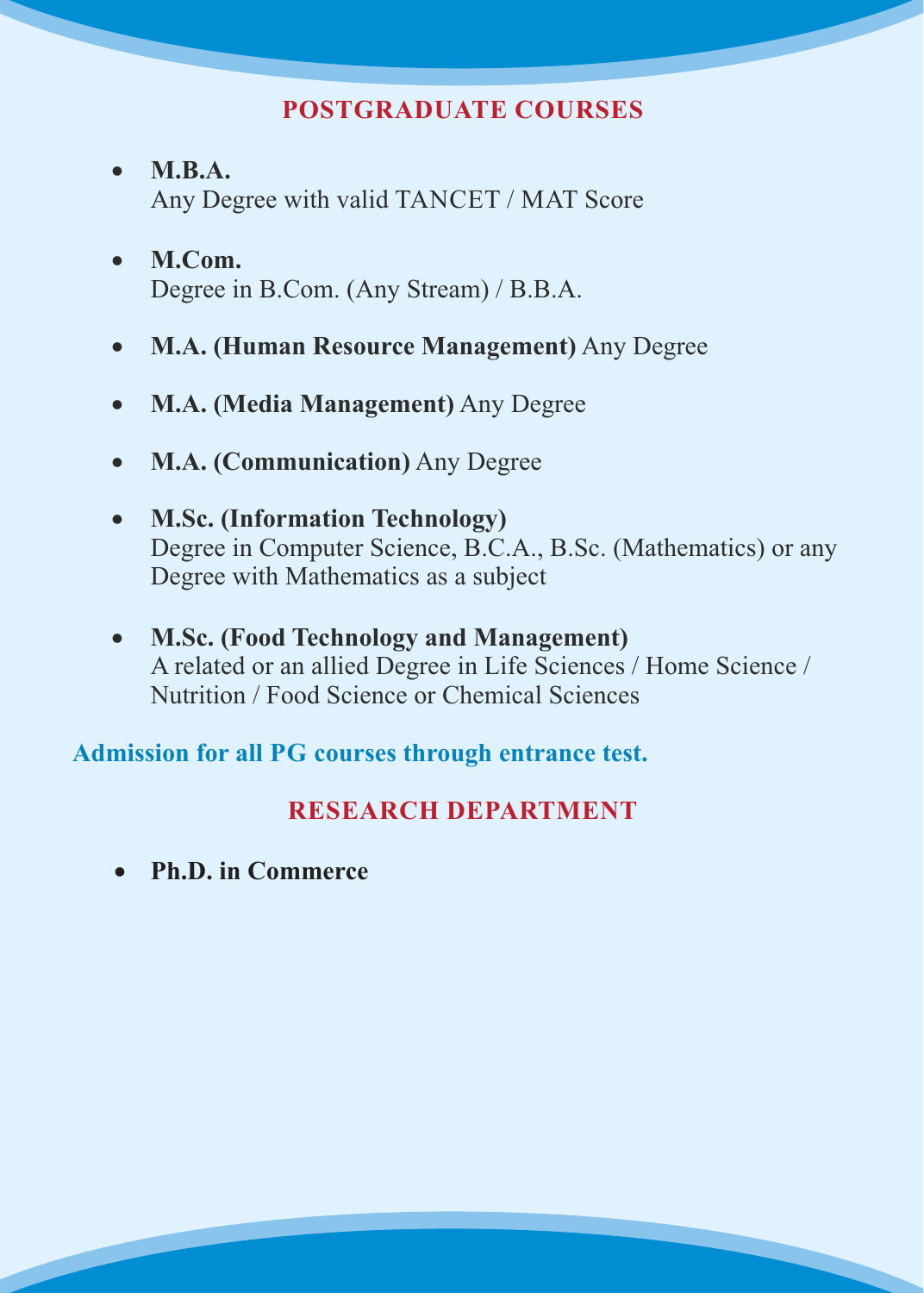# **POSTGRADUATE COURSES**

- **M.B.A.** Any Degree with valid TANCET / MAT Score
- **M.Com.** Degree in B.Com. (Any Stream) / B.B.A.
- **M.A. (Human Resource Management)** Any Degree
- **M.A. (Media Management)** Any Degree
- **M.A. (Communication)** Any Degree
- **M.Sc. (Information Technology)** Degree in Computer Science, B.C.A., B.Sc. (Mathematics) or any Degree with Mathematics as a subject
- **M.Sc. (Food Technology and Management)** A related or an allied Degree in Life Sciences / Home Science / Nutrition / Food Science or Chemical Sciences

**Admission for all PG courses through entrance test.**

# **RESEARCH DEPARTMENT**

**Ph.D. in Commerce**